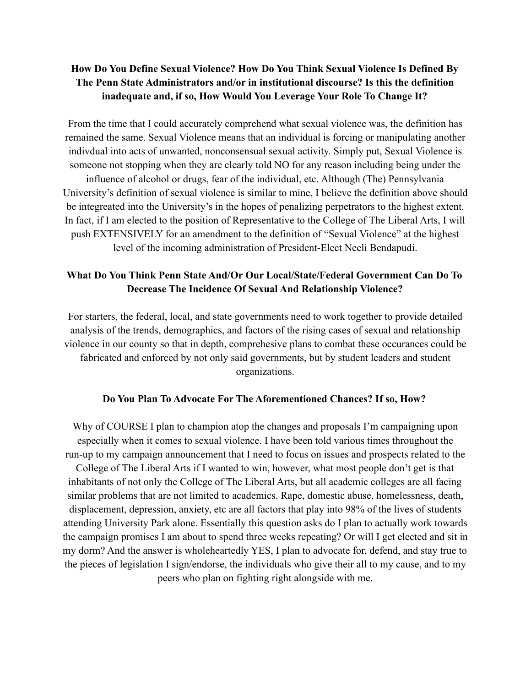# **How Do You Define Sexual Violence? How Do You Think Sexual Violence Is Defined By The Penn State Administrators and/or in institutional discourse? Is this the definition inadequate and, if so, How Would You Leverage Your Role To Change It?**

From the time that I could accurately comprehend what sexual violence was, the definition has remained the same. Sexual Violence means that an individual is forcing or manipulating another indivdual into acts of unwanted, nonconsensual sexual activity. Simply put, Sexual Violence is someone not stopping when they are clearly told NO for any reason including being under the influence of alcohol or drugs, fear of the individual, etc. Although (The) Pennsylvania University's definition of sexual violence is similar to mine, I believe the definition above should be integreated into the University's in the hopes of penalizing perpetrators to the highest extent. In fact, if I am elected to the position of Representative to the College of The Liberal Arts, I will push EXTENSIVELY for an amendment to the definition of "Sexual Violence" at the highest level of the incoming administration of President-Elect Neeli Bendapudi.

## **What Do You Think Penn State And/Or Our Local/State/Federal Government Can Do To Decrease The Incidence Of Sexual And Relationship Violence?**

For starters, the federal, local, and state governments need to work together to provide detailed analysis of the trends, demographics, and factors of the rising cases of sexual and relationship violence in our county so that in depth, comprehesive plans to combat these occurances could be fabricated and enforced by not only said governments, but by student leaders and student organizations.

#### **Do You Plan To Advocate For The Aforementioned Chances? If so, How?**

Why of COURSE I plan to champion atop the changes and proposals I'm campaigning upon especially when it comes to sexual violence. I have been told various times throughout the run-up to my campaign announcement that I need to focus on issues and prospects related to the College of The Liberal Arts if I wanted to win, however, what most people don't get is that inhabitants of not only the College of The Liberal Arts, but all academic colleges are all facing similar problems that are not limited to academics. Rape, domestic abuse, homelessness, death, displacement, depression, anxiety, etc are all factors that play into 98% of the lives of students attending University Park alone. Essentially this question asks do I plan to actually work towards the campaign promises I am about to spend three weeks repeating? Or will I get elected and sit in my dorm? And the answer is wholeheartedly YES, I plan to advocate for, defend, and stay true to the pieces of legislation I sign/endorse, the individuals who give their all to my cause, and to my peers who plan on fighting right alongside with me.